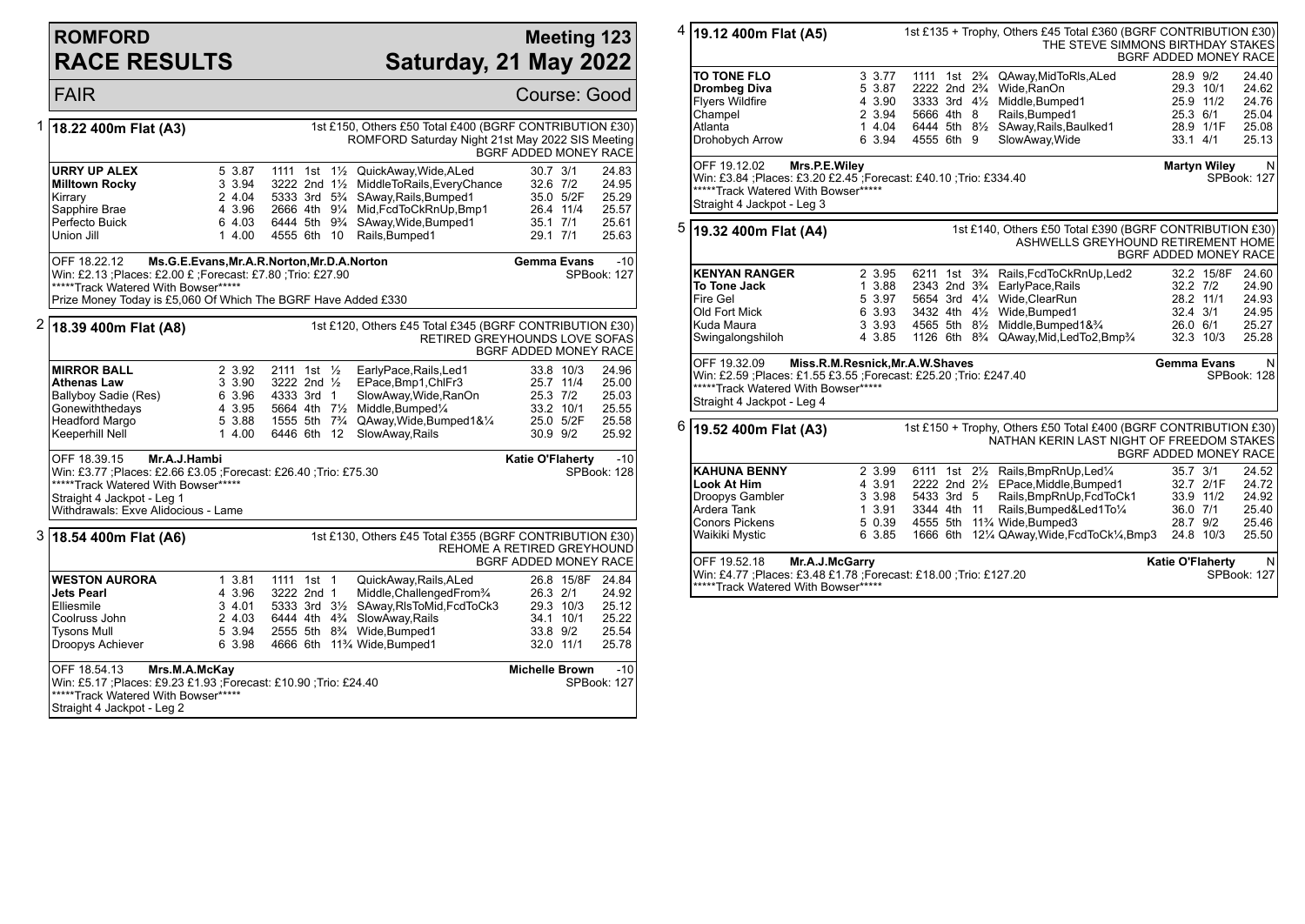# **ROMFORD RACE RESULTS**

### **Meeting 123 Saturday, 21 May 2022**

|   | <b>FAIR</b>                                                                                                                                                                                                                                                                       |                                                          |                                                                                   |  |  |                                                                                                                                                                                                                                                                             | <b>Course: Good</b>                              |                                                  |                                                    |
|---|-----------------------------------------------------------------------------------------------------------------------------------------------------------------------------------------------------------------------------------------------------------------------------------|----------------------------------------------------------|-----------------------------------------------------------------------------------|--|--|-----------------------------------------------------------------------------------------------------------------------------------------------------------------------------------------------------------------------------------------------------------------------------|--------------------------------------------------|--------------------------------------------------|----------------------------------------------------|
| 1 | 18.22 400m Flat (A3)                                                                                                                                                                                                                                                              |                                                          |                                                                                   |  |  | 1st £150, Others £50 Total £400 (BGRF CONTRIBUTION £30)<br>ROMFORD Saturday Night 21st May 2022 SIS Meeting                                                                                                                                                                 | BGRF ADDED MONEY RACE                            |                                                  |                                                    |
|   | <b>URRY UP ALEX</b><br><b>Milltown Rocky</b><br>Kirrary<br>Sapphire Brae<br>Perfecto Buick<br>Union Jill                                                                                                                                                                          | 5 3.87<br>3 3.94<br>2 4.04<br>4 3.96<br>6 4.03<br>14.00  | 4555 6th 10                                                                       |  |  | 1111 1st 11/2 QuickAway, Wide, ALed<br>3222 2nd 11/2 MiddleToRails, Every Chance<br>5333 3rd 5 <sup>3</sup> / <sub>4</sub> SAway, Rails, Bumped 1<br>2666 4th 91/4 Mid, FcdToCkRnUp, Bmp1<br>6444 5th 9 <sup>3</sup> / <sub>4</sub> SAway, Wide, Bumped 1<br>Rails, Bumped1 | $30.7$ $3/1$<br>32.6 7/2<br>35.1 7/1<br>29.1 7/1 | 35.0 5/2F<br>26.4 11/4                           | 24.83<br>24.95<br>25.29<br>25.57<br>25.61<br>25.63 |
|   | OFF 18.22.12<br>Ms.G.E.Evans, Mr.A.R.Norton, Mr.D.A.Norton<br>Gemma Evans<br>$-10$<br>Win: £2.13 ; Places: £2.00 £ ; Forecast: £7.80 ; Trio: £27.90<br><b>SPBook: 127</b><br>*****Track Watered With Bowser*****<br>Prize Money Today is £5,060 Of Which The BGRF Have Added £330 |                                                          |                                                                                   |  |  |                                                                                                                                                                                                                                                                             |                                                  |                                                  |                                                    |
| 2 | 1st £120, Others £45 Total £345 (BGRF CONTRIBUTION £30)<br>18.39 400m Flat (A8)<br>RETIRED GREYHOUNDS LOVE SOFAS<br>BGRF ADDED MONEY RACE                                                                                                                                         |                                                          |                                                                                   |  |  |                                                                                                                                                                                                                                                                             |                                                  |                                                  |                                                    |
|   | <b>MIRROR BALL</b><br><b>Athenas Law</b><br>Ballyboy Sadie (Res)<br>Gonewiththedays<br>Headford Margo<br>Keeperhill Nell                                                                                                                                                          | 2 3.92<br>3 3.90<br>6 3.96<br>4 3.95<br>5 3.88<br>1 4.00 | 2111 1st 1/ <sub>2</sub><br>3222 2nd 1/ <sub>2</sub><br>4333 3rd 1<br>6446 6th 12 |  |  | EarlyPace, Rails, Led1<br>EPace, Bmp1, ChIFr3<br>SlowAway, Wide, RanOn<br>5664 4th 71/2 Middle, Bumped1/4<br>1555 5th 7 <sup>3</sup> / <sub>4</sub> QAway, Wide, Bumped 1& 1/ <sub>4</sub><br>SlowAway, Rails                                                               | 25.3 7/2<br>30.9 9/2                             | 33.8 10/3<br>25.7 11/4<br>33.2 10/1<br>25.0 5/2F | 24.96<br>25.00<br>25.03<br>25.55<br>25.58<br>25.92 |
|   | Mr.A.J.Hambi<br>OFF 18.39.15<br>Katie O'Flaherty<br>Win: £3.77 ; Places: £2.66 £3.05 ; Forecast: £26.40 ; Trio: £75.30<br><b>SPBook: 128</b><br>*****Track Watered With Bowser*****<br>Straight 4 Jackpot - Leg 1<br>Withdrawals: Exve Alidocious - Lame                          |                                                          |                                                                                   |  |  |                                                                                                                                                                                                                                                                             |                                                  |                                                  | $-10$                                              |
| 3 | 18.54 400m Flat (A6)                                                                                                                                                                                                                                                              |                                                          |                                                                                   |  |  | 1st £130, Others £45 Total £355 (BGRF CONTRIBUTION £30)<br>REHOME A RETIRED GREYHOUND                                                                                                                                                                                       | <b>BGRF ADDED MONEY RACE</b>                     |                                                  |                                                    |
|   | <b>WESTON AURORA</b><br>Jets Pearl<br>Elliesmile<br>Coolruss John<br><b>Tysons Mull</b><br>Droopys Achiever                                                                                                                                                                       | 1 3.81<br>4 3.96<br>3 4.01<br>2 4.03<br>5 3.94<br>6 3.98 | 1111 1st 1<br>3222 2nd 1                                                          |  |  | QuickAway, Rails, ALed<br>Middle, Challenged From 3/4<br>5333 3rd 31/2 SAway, RIsToMid, FcdToCk3<br>6444 4th 4 <sup>3</sup> / <sub>4</sub> SlowAway, Rails<br>2555 5th 8 <sup>3</sup> / <sub>4</sub> Wide, Bumped1<br>4666 6th 11% Wide, Bumped1                            | 26.3 2/1<br>33.8 9/2<br>32.0 11/1                | 26.8 15/8F<br>29.3 10/3<br>34.1 10/1             | 24.84<br>24.92<br>25.12<br>25.22<br>25.54<br>25.78 |
|   | OFF 18.54.13<br><b>Michelle Brown</b><br>Mrs.M.A.McKay<br>Win: £5.17 ; Places: £9.23 £1.93 ; Forecast: £10.90 ; Trio: £24.40<br>SPBook: 127<br>*****Track Watered With Bowser*****<br>Straight 4 Jackpot - Leg 2                                                                  |                                                          |                                                                                   |  |  |                                                                                                                                                                                                                                                                             |                                                  |                                                  |                                                    |

4 **19.12 400m Flat (A5)** 1st £135 + Trophy, Others £45 Total £360 (BGRF CONTRIBUTION £30) THE STEVE SIMMONS BIRTHDAY STAKES BGRF ADDED MONEY RACE **TO TONE FLO** 3 3.77 1111 1st 2¾ QAway,MidToRls,ALed 28.9 9/2 24.40 **Drombeg Diva** 5 3.87 2222 2nd 2¾ Wide,RanOn 29.3 10/1 24.62 Flyers Wildfire 4 3.90 3333 3rd 4½ Middle,Bumped1 25.9 11/2 24.76 2 3.94 5666 4th 8 Rails, Bumped 1 Atlanta 1 4.04 6444 5th 8½ SAway,Rails,Baulked1 28.9 1/1F 25.08  $\vert$ Drohobych Arrow 6 3.94 OFF 19.12.02 **Mrs.P.E.Wiley** Win: £3.84 ;Places: £3.20 £2.45 ;Forecast: £40.10 ;Trio: £334.40 \*\*\*\*\*Track Watered With Bowser\*\*\*\*\* Straight 4 Jackpot - Leg 3 **Martyn Wiley** SPBook: 127 5 **19.32 400m Flat (A4)** 1st £140, Others £50 Total £390 (BGRF CONTRIBUTION £30) ASHWELLS GREYHOUND RETIREMENT HOME BGRF ADDED MONEY RACE **KENYAN RANGER** 2 3.95 6211 1st 3¾ Rails,FcdToCkRnUp,Led2 32.2 15/8F 24.60 **To Tone Jack 1** 3.88 2343 2nd 3¾ EarlyPace,Rails 32.2 *7/2* 24.90<br>Fire Gel 5 3.97 5654 3rd 4¼ Wide.ClearRun 28.2 11/1 24.93 Fire Gel 5 3.97 5654 3rd 4¼ Wide,ClearRun 28.2 11/1 24.93 Old Fort Mick 6 3.93 3432 4th 4½ Wide,Bumped1 32.4 3/1 24.95 Kuda Maura 3 3.93 4565 5th 8½ Middle,Bumped1&¾ 26.0 6/1 25.27 4 3.85 1126 6th 8<sup>3</sup>/<sub>4</sub> QAway,Mid,LedTo2,Bmp<sup>3</sup>/<sub>4</sub> OFF 19.32.09 **Miss.R.M.Resnick,Mr.A.W.Shaves** Win: £2.59 ;Places: £1.55 £3.55 ;Forecast: £25.20 ;Trio: £247.40 \*\*\*\*\*Track Watered With Bowser\*\*\*\*\* Straight 4 Jackpot - Leg 4 **Gemma Evans** SPBook: 128 6 **19.52 400m Flat (A3)** 1st £150 + Trophy, Others £50 Total £400 (BGRF CONTRIBUTION £30) NATHAN KERIN LAST NIGHT OF FREEDOM STAKES BGRF ADDED MONEY RACE **KAHUNA BENNY** 2 3.99 6111 1st 2½ Rails,BmpRnUp,Led¼ 35.7 3/1 24.52<br>Look At Him 4 3.91 2222 2nd 2½ EPace.Middle.Bumped1 32.7 2/1F 24.72 **Look At Him** 4 3.91 2222 2nd 2<sup>1</sup>/<sub>2</sub> EPace,Middle,Bumped1 32.7 2/1F 24.72<br>Droopys Gambler 3 3.98 5433 3rd 5 Rails,BmpRnUp,FcdToCk1 33.9 11/2 24.92 Droopys Gambler 3 3.98 5433 3rd 5 Rails,BmpRnUp,FcdToCk1 33.9 11/2 24.92 Ardera Tank 1 3.91 3344 4th 11 Rails,Bumped&Led1To¼ 36.0 7/1 25.40<br>Conors Pickens 5 0.39 4555 5th 11% Wide,Bumped3 28.7 9/2 25.46 Conors Pickens 5 0.39 4555 5th 11¾ Wide,Bumped3 28.7 9/2 25.46 1666 6th 12¼ QAway,Wide,FcdToCk¼,Bmp3 24.8 10/3 OFF 19.52.18 **Mr.A.J.McGarry** Win: £4.77 ;Places: £3.48 £1.78 ;Forecast: £18.00 ;Trio: £127.20 \*\*\*\*\*Track Watered With Bowser\*\*\*\*\* **Katie O'Flaherty** N SPBook: 127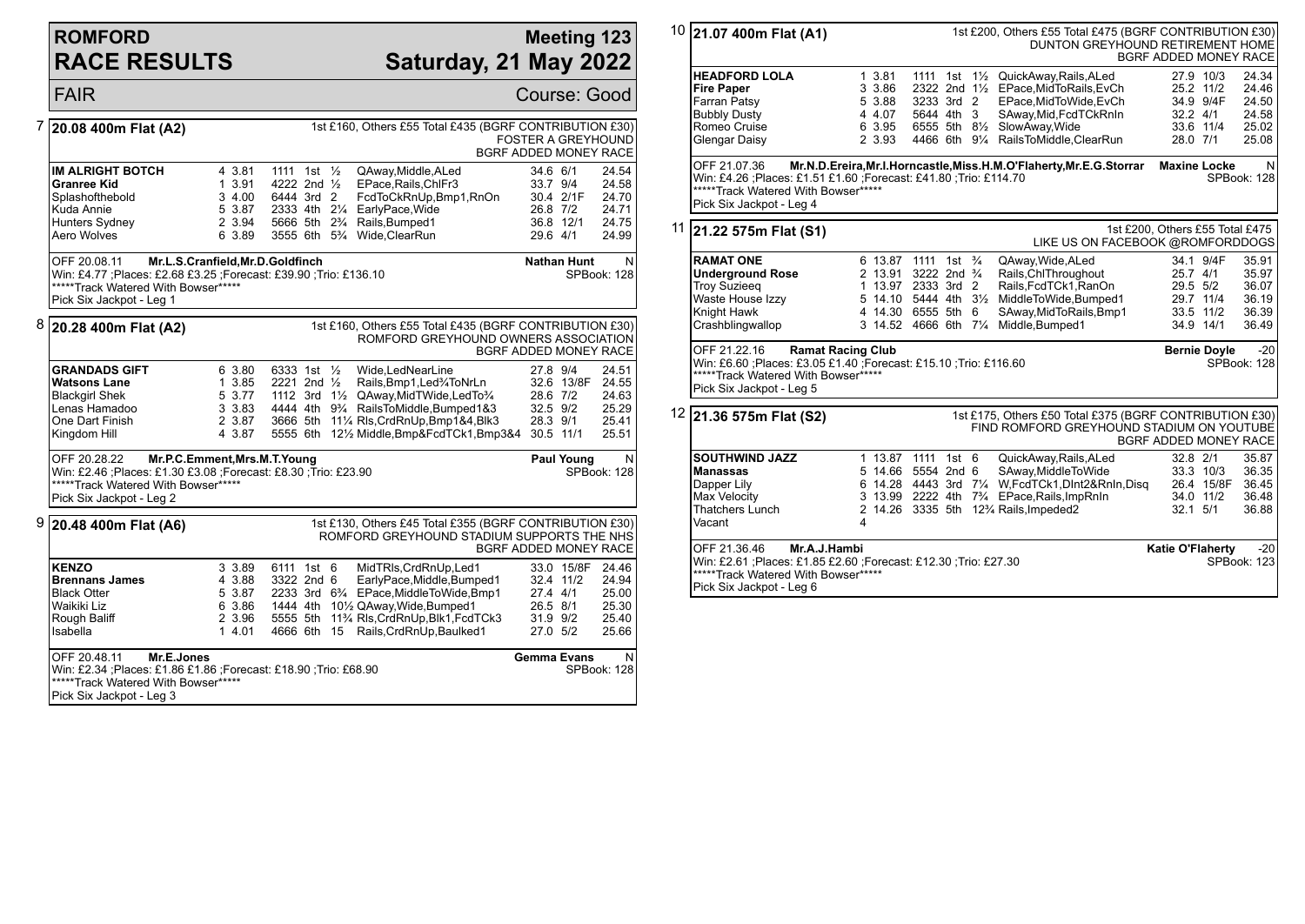## **ROMFORD RACE RESULTS**

### **Meeting 123 Saturday, 21 May 2022**

|   | <b>FAIR</b>                                                                                                                                                                             |                                                          |                                                      |                                                                                                                                                                                                                                                                  | Course: Good                                                                                                                      |
|---|-----------------------------------------------------------------------------------------------------------------------------------------------------------------------------------------|----------------------------------------------------------|------------------------------------------------------|------------------------------------------------------------------------------------------------------------------------------------------------------------------------------------------------------------------------------------------------------------------|-----------------------------------------------------------------------------------------------------------------------------------|
|   | 20.08 400m Flat (A2)                                                                                                                                                                    |                                                          |                                                      | 1st £160, Others £55 Total £435 (BGRF CONTRIBUTION £30)                                                                                                                                                                                                          | <b>FOSTER A GREYHOUND</b><br><b>BGRF ADDED MONEY RACE</b>                                                                         |
|   | <b>IM ALRIGHT BOTCH</b><br>Granree Kid<br>Splashofthebold<br>Kuda Annie<br>Hunters Sydney<br>Aero Wolves                                                                                | 4 3.81<br>13.91<br>3 4.00<br>5 3.87<br>2 3.94<br>6 3.89  | 1111 1st $\frac{1}{2}$<br>4222 2nd 1/2<br>6444 3rd 2 | QAway, Middle, ALed<br>EPace, Rails, ChlFr3<br>FcdToCkRnUp,Bmp1,RnOn<br>2333 4th 21/4 EarlyPace, Wide<br>5666 5th 2 <sup>3</sup> / <sub>4</sub> Rails, Bumped1<br>3555 6th 5 <sup>3</sup> / <sub>4</sub> Wide, ClearRun                                          | 34.6 6/1<br>24.54<br>33.7 9/4<br>24.58<br>30.4 2/1F<br>24.70<br>26.8 7/2<br>24.71<br>36.8 12/1<br>24.75<br>29.6 4/1<br>24.99      |
|   | OFF 20.08.11 Mr.L.S.Cranfield, Mr.D.Goldfinch<br>Win: £4.77 ; Places: £2.68 £3.25 ; Forecast: £39.90 ; Trio: £136.10<br>*****Track Watered With Bowser*****<br>Pick Six Jackpot - Leg 1 |                                                          |                                                      |                                                                                                                                                                                                                                                                  | <b>Nathan Hunt</b><br>N.<br>SPBook: 128                                                                                           |
| 8 | 20.28 400m Flat (A2)                                                                                                                                                                    |                                                          |                                                      | 1st £160, Others £55 Total £435 (BGRF CONTRIBUTION £30)<br>ROMFORD GREYHOUND OWNERS ASSOCIATION                                                                                                                                                                  | <b>BGRF ADDED MONEY RACE</b>                                                                                                      |
|   | <b>GRANDADS GIFT</b><br><b>Watsons Lane</b><br><b>Blackgirl Shek</b><br>Lenas Hamadoo<br>One Dart Finish<br>Kingdom Hill<br>OFF 20.28.22<br>Mr.P.C.Emment, Mrs.M.T.Young                | 6 3.80<br>1 3.85<br>5 3.77<br>3 3.83<br>2 3.87<br>4 3.87 | 6333 1st $\frac{1}{2}$<br>2221 2nd $\frac{1}{2}$     | Wide,LedNearLine<br>Rails, Bmp1, Led%ToNrLn<br>1112 3rd 11/2 QAway, Mid TWide, Led To 3/4<br>4444 4th 9 <sup>3</sup> / <sub>4</sub> RailsToMiddle, Bumped 1&3<br>3666 5th 111/4 RIs, CrdRnUp, Bmp1&4, Blk3<br>5555 6th 121/2 Middle.Bmp&FcdTCk1.Bmp3&4 30.5 11/1 | 27.8 9/4<br>24.51<br>32.6 13/8F 24.55<br>28.6 7/2<br>24.63<br>25.29<br>32.5 9/2<br>28.3 9/1<br>25.41<br>25.51<br>Paul Young<br>N. |
|   | Win: £2.46 ; Places: £1.30 £3.08 ; Forecast: £8.30 ; Trio: £23.90<br>*****Track Watered With Bowser*****<br>Pick Six Jackpot - Leg 2                                                    |                                                          |                                                      |                                                                                                                                                                                                                                                                  | SPBook: 128                                                                                                                       |
|   | $9$ 20.48 400m Flat (A6)                                                                                                                                                                |                                                          |                                                      | 1st £130, Others £45 Total £355 (BGRF CONTRIBUTION £30)<br>ROMFORD GREYHOUND STADIUM SUPPORTS THE NHS                                                                                                                                                            | BGRF ADDED MONEY RACE                                                                                                             |
|   | <b>KENZO</b><br><b>Brennans James</b><br><b>Black Otter</b><br>Waikiki Liz<br>Rough Baliff<br>Isabella                                                                                  | 3 3.89<br>4 3.88<br>5 3.87<br>6 3.86<br>2 3.96<br>14.01  | 6111 1st 6<br>3322 2nd 6<br>4666 6th 15              | MidTRIs, CrdRnUp, Led1<br>EarlyPace, Middle, Bumped1<br>2233 3rd 6 <sup>3</sup> / <sub>4</sub> EPace, Middle To Wide, Bmp1<br>1444 4th 101/2 QAway, Wide, Bumped 1<br>5555 5th 11% RIs, CrdRnUp, Blk1, FcdTCk3<br>Rails, CrdRnUp, Baulked1                       | 33.0 15/8F 24.46<br>24.94<br>32.4 11/2<br>27.4 4/1<br>25.00<br>26.5 8/1<br>25.30<br>31.9 9/2<br>25.40<br>27.0 5/2<br>25.66        |
|   | OFF 20.48.11<br>Mr.E.Jones<br>Win: £2.34 ; Places: £1.86 £1.86 ; Forecast: £18.90 ; Trio: £68.90<br>*****Track Watered With Bowser*****<br>Pick Six Jackpot - Leg 3                     |                                                          |                                                      |                                                                                                                                                                                                                                                                  | Gemma Evans<br>N<br>SPBook: 128                                                                                                   |

| $10$ 21.07 400m Flat (A1)                                                                                                                                                       |   |                                                                             |                                                                     |  |  | 1st £200, Others £55 Total £475 (BGRF CONTRIBUTION £30)<br>DUNTON GREYHOUND RETIREMENT HOME                                                                                                                                           | BGRF ADDED MONEY RACE           |                                                                |                                                    |
|---------------------------------------------------------------------------------------------------------------------------------------------------------------------------------|---|-----------------------------------------------------------------------------|---------------------------------------------------------------------|--|--|---------------------------------------------------------------------------------------------------------------------------------------------------------------------------------------------------------------------------------------|---------------------------------|----------------------------------------------------------------|----------------------------------------------------|
| <b>HEADFORD LOLA</b><br><b>Fire Paper</b><br>Farran Patsy<br><b>Bubbly Dusty</b><br>Romeo Cruise<br>Glengar Daisy                                                               |   | 13.81<br>3 3.86<br>5 3.88<br>4 4.07<br>6 3.95<br>2 3.93                     | 3233 3rd 2<br>5644 4th 3                                            |  |  | 1111 1st 11/2 QuickAway, Rails, ALed<br>2322 2nd 11/2 EPace, MidToRails, EvCh<br>EPace, MidToWide, EvCh<br>SAway, Mid, FcdTCkRnIn<br>6555 5th 81/2 SlowAway, Wide<br>4466 6th 91/4 RailsToMiddle, ClearRun                            | 28.0 7/1                        | 27.9 10/3<br>25.2 11/2<br>34.9 9/4F<br>$32.2$ 4/1<br>33.6 11/4 | 24.34<br>24.46<br>24.50<br>24.58<br>25.02<br>25.08 |
| OFF 21.07.36<br>Win: £4.26 ;Places: £1.51 £1.60 ;Forecast: £41.80 ;Trio: £114.70<br>*****Track Watered With Bowser*****<br>Pick Six Jackpot - Leg 4                             |   |                                                                             |                                                                     |  |  | Mr.N.D.Ereira, Mr.I.Horncastle, Miss.H.M.O'Flaherty, Mr.E.G.Storrar                                                                                                                                                                   | <b>Maxine Locke</b>             |                                                                | N<br>SPBook: 128                                   |
| $11$ 21.22 575m Flat (S1)                                                                                                                                                       |   |                                                                             |                                                                     |  |  | LIKE US ON FACEBOOK @ROMFORDDOGS                                                                                                                                                                                                      | 1st £200, Others £55 Total £475 |                                                                |                                                    |
| <b>RAMAT ONE</b><br><b>Underground Rose</b><br><b>Troy Suzieeg</b><br>Waste House Izzy<br>Knight Hawk<br>Crashblingwallop                                                       |   | 6 13.87 1111 1st 3/4<br>2 13.91<br>1 13.97<br>4 14.30 6555 5th 6<br>3 14.52 | 3222 2nd <sup>3</sup> / <sub>4</sub><br>2333 3rd 2<br>4666 6th 71/4 |  |  | QAway, Wide, ALed<br>Rails, ChlThroughout<br>Rails, FcdTCk1, RanOn<br>5 14.10 5444 4th 31/2 MiddleToWide, Bumped 1<br>SAway, Mid To Rails, Bmp1<br>Middle, Bumped1                                                                    | 25.7 4/1<br>29.5 5/2            | 34.1 9/4F<br>29.7 11/4<br>33.5 11/2<br>34.9 14/1               | 35.91<br>35.97<br>36.07<br>36.19<br>36.39<br>36.49 |
| OFF 21.22.16<br><b>Ramat Racing Club</b><br>Win: £6.60 ;Places: £3.05 £1.40 ;Forecast: £15.10 ;Trio: £116.60<br>*****Track Watered With Bowser*****<br>Pick Six Jackpot - Leg 5 |   |                                                                             |                                                                     |  |  |                                                                                                                                                                                                                                       |                                 | <b>Bernie Doyle</b>                                            | $-20$<br>SPBook: 128                               |
| $12$ 21.36 575m Flat (S2)                                                                                                                                                       |   |                                                                             |                                                                     |  |  | 1st £175, Others £50 Total £375 (BGRF CONTRIBUTION £30)<br>FIND ROMFORD GREYHOUND STADIUM ON YOUTUBE                                                                                                                                  | BGRF ADDED MONEY RACE           |                                                                |                                                    |
| <b>SOUTHWIND JAZZ</b><br><b>Manassas</b><br>Dapper Lily<br>Max Velocity<br>Thatchers Lunch<br>Vacant                                                                            | 4 | 1 13.87 1111 1st 6<br>5 14.66 5554 2nd 6                                    |                                                                     |  |  | QuickAway, Rails, ALed<br>SAway, Middle To Wide<br>6 14.28 4443 3rd 71/4 W, FcdTCk1, DInt2&RnIn, Disq<br>3 13.99 2222 4th 7 <sup>3</sup> /4 EPace, Rails, ImpRnIn<br>2 14.26 3335 5th 12 <sup>3</sup> / <sub>4</sub> Rails, Impeded 2 | 32.8 2/1<br>$32.1$ $5/1$        | 33.3 10/3<br>26.4 15/8F<br>34.0 11/2                           | 35.87<br>36.35<br>36.45<br>36.48<br>36.88          |
| OFF 21.36.46<br>Mr.A.J.Hambi<br>Win: £2.61 ;Places: £1.85 £2.60 ;Forecast: £12.30 ;Trio: £27.30<br>*****Track Watered With Bowser*****<br>Pick Six Jackpot - Leg 6              |   |                                                                             |                                                                     |  |  |                                                                                                                                                                                                                                       | Katie O'Flaherty                |                                                                | -20<br>SPBook: 123                                 |